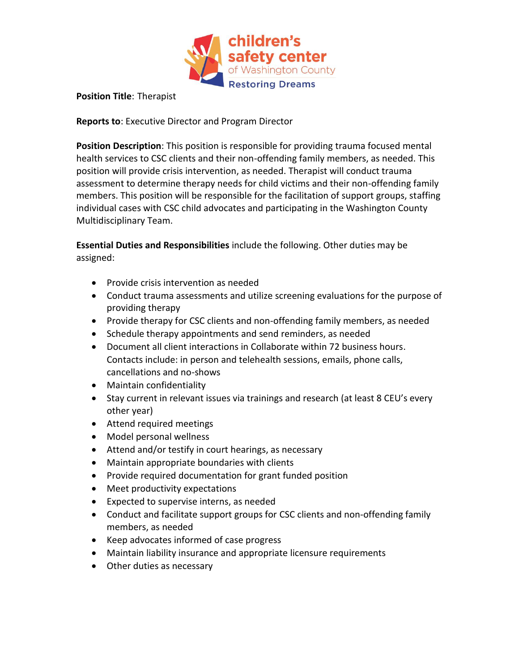

## **Position Title**: Therapist

**Reports to**: Executive Director and Program Director

**Position Description**: This position is responsible for providing trauma focused mental health services to CSC clients and their non-offending family members, as needed. This position will provide crisis intervention, as needed. Therapist will conduct trauma assessment to determine therapy needs for child victims and their non-offending family members. This position will be responsible for the facilitation of support groups, staffing individual cases with CSC child advocates and participating in the Washington County Multidisciplinary Team.

**Essential Duties and Responsibilities** include the following. Other duties may be assigned:

- Provide crisis intervention as needed
- Conduct trauma assessments and utilize screening evaluations for the purpose of providing therapy
- Provide therapy for CSC clients and non-offending family members, as needed
- Schedule therapy appointments and send reminders, as needed
- Document all client interactions in Collaborate within 72 business hours. Contacts include: in person and telehealth sessions, emails, phone calls, cancellations and no-shows
- Maintain confidentiality
- Stay current in relevant issues via trainings and research (at least 8 CEU's every other year)
- Attend required meetings
- Model personal wellness
- Attend and/or testify in court hearings, as necessary
- Maintain appropriate boundaries with clients
- Provide required documentation for grant funded position
- Meet productivity expectations
- Expected to supervise interns, as needed
- Conduct and facilitate support groups for CSC clients and non-offending family members, as needed
- Keep advocates informed of case progress
- Maintain liability insurance and appropriate licensure requirements
- Other duties as necessary